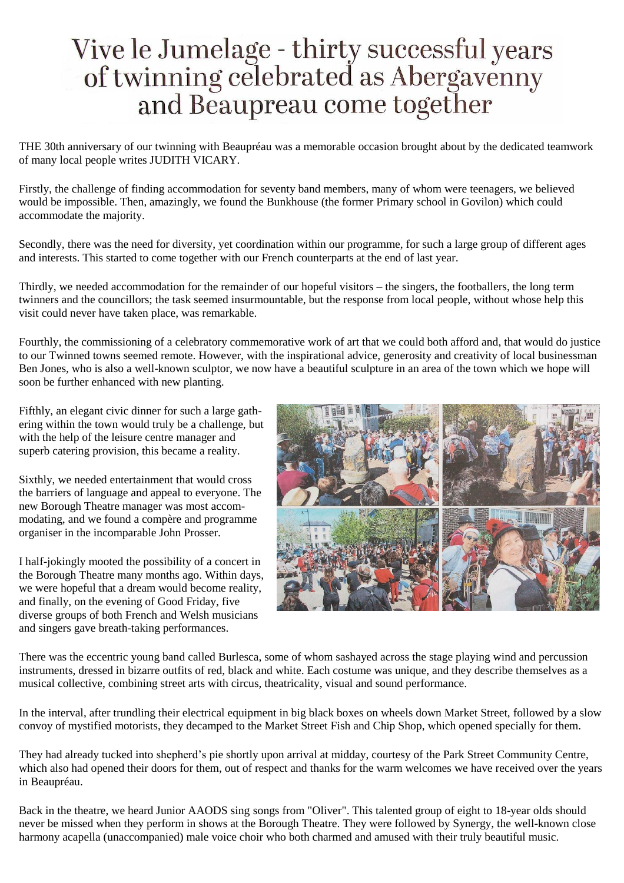## Vive le Jumelage - thirty successful years<br>of twinning celebrated as Abergavenny and Beaupreau come together

THE 30th anniversary of our twinning with Beaupréau was a memorable occasion brought about by the dedicated teamwork of many local people writes JUDITH VICARY.

Firstly, the challenge of finding accommodation for seventy band members, many of whom were teenagers, we believed would be impossible. Then, amazingly, we found the Bunkhouse (the former Primary school in Govilon) which could accommodate the majority.

Secondly, there was the need for diversity, yet coordination within our programme, for such a large group of different ages and interests. This started to come together with our French counterparts at the end of last year.

Thirdly, we needed accommodation for the remainder of our hopeful visitors – the singers, the footballers, the long term twinners and the councillors; the task seemed insurmountable, but the response from local people, without whose help this visit could never have taken place, was remarkable.

Fourthly, the commissioning of a celebratory commemorative work of art that we could both afford and, that would do justice to our Twinned towns seemed remote. However, with the inspirational advice, generosity and creativity of local businessman Ben Jones, who is also a well-known sculptor, we now have a beautiful sculpture in an area of the town which we hope will soon be further enhanced with new planting.

Fifthly, an elegant civic dinner for such a large gathering within the town would truly be a challenge, but with the help of the leisure centre manager and superb catering provision, this became a reality.

Sixthly, we needed entertainment that would cross the barriers of language and appeal to everyone. The new Borough Theatre manager was most accommodating, and we found a compère and programme organiser in the incomparable John Prosser.

I half-jokingly mooted the possibility of a concert in the Borough Theatre many months ago. Within days, we were hopeful that a dream would become reality, and finally, on the evening of Good Friday, five diverse groups of both French and Welsh musicians and singers gave breath-taking performances.



There was the eccentric young band called Burlesca, some of whom sashayed across the stage playing wind and percussion instruments, dressed in bizarre outfits of red, black and white. Each costume was unique, and they describe themselves as a musical collective, combining street arts with circus, theatricality, visual and sound performance.

In the interval, after trundling their electrical equipment in big black boxes on wheels down Market Street, followed by a slow convoy of mystified motorists, they decamped to the Market Street Fish and Chip Shop, which opened specially for them.

They had already tucked into shepherd's pie shortly upon arrival at midday, courtesy of the Park Street Community Centre, which also had opened their doors for them, out of respect and thanks for the warm welcomes we have received over the years in Beaupréau.

Back in the theatre, we heard Junior AAODS sing songs from "Oliver". This talented group of eight to 18-year olds should never be missed when they perform in shows at the Borough Theatre. They were followed by Synergy, the well-known close harmony acapella (unaccompanied) male voice choir who both charmed and amused with their truly beautiful music.